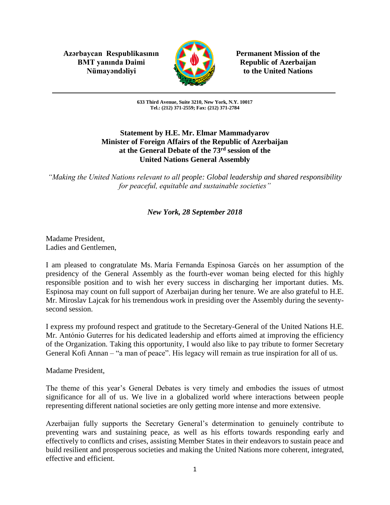**Azərbaycan Respublikasının Permanent Mission of the BMT yanında Daimi Republic of Azerbaijan** 



Nümayəndəliyi **Kanadili** to the United Nations

**633 Third Avenue, Suite 3210, New York, N.Y. 10017 Tel.: (212) 371-2559; Fax: (212) 371-2784**

## **Statement by H.E. Mr. Elmar Mammadyarov Minister of Foreign Affairs of the Republic of Azerbaijan at the General Debate of the 73rd session of the United Nations General Assembly**

*"Making the United Nations relevant to all people: Global leadership and shared responsibility for peaceful, equitable and sustainable societies"*

## *New York, 28 September 2018*

Madame President, Ladies and Gentlemen,

I am pleased to congratulate Ms. María Fernanda Espinosa Garcés on her assumption of the presidency of the General Assembly as the fourth-ever woman being elected for this highly responsible position and to wish her every success in discharging her important duties. Ms. Espinosa may count on full support of Azerbaijan during her tenure. We are also grateful to H.E. Mr. Miroslav Lajcak for his tremendous work in presiding over the Assembly during the seventysecond session.

I express my profound respect and gratitude to the Secretary-General of the United Nations H.E. Mr. António Guterres for his dedicated leadership and efforts aimed at improving the efficiency of the Organization. Taking this opportunity, I would also like to pay tribute to former Secretary General Kofi Annan – "a man of peace". His legacy will remain as true inspiration for all of us.

Madame President,

The theme of this year's General Debates is very timely and embodies the issues of utmost significance for all of us. We live in a globalized world where interactions between people representing different national societies are only getting more intense and more extensive.

Azerbaijan fully supports the Secretary General's determination to genuinely contribute to preventing wars and sustaining peace, as well as his efforts towards responding early and effectively to conflicts and crises, assisting Member States in their endeavors to sustain peace and build resilient and prosperous societies and making the United Nations more coherent, integrated, effective and efficient.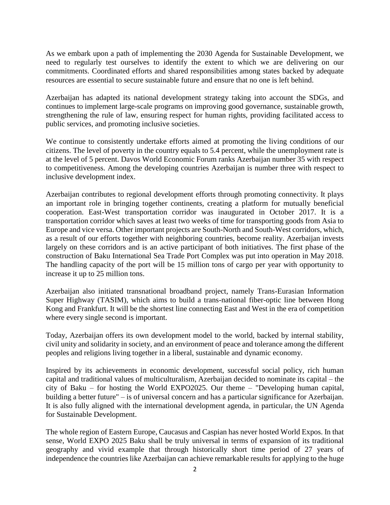As we embark upon a path of implementing the 2030 Agenda for Sustainable Development, we need to regularly test ourselves to identify the extent to which we are delivering on our commitments. Coordinated efforts and shared responsibilities among states backed by adequate resources are essential to secure sustainable future and ensure that no one is left behind.

Azerbaijan has adapted its national development strategy taking into account the SDGs, and continues to implement large-scale programs on improving good governance, sustainable growth, strengthening the rule of law, ensuring respect for human rights, providing facilitated access to public services, and promoting inclusive societies.

We continue to consistently undertake efforts aimed at promoting the living conditions of our citizens. The level of poverty in the country equals to 5.4 percent, while the unemployment rate is at the level of 5 percent. Davos World Economic Forum ranks Azerbaijan number 35 with respect to competitiveness. Among the developing countries Azerbaijan is number three with respect to inclusive development index.

Azerbaijan contributes to regional development efforts through promoting connectivity. It plays an important role in bringing together continents, creating a platform for mutually beneficial cooperation. East-West transportation corridor was inaugurated in October 2017. It is a transportation corridor which saves at least two weeks of time for transporting goods from Asia to Europe and vice versa. Other important projects are South-North and South-West corridors, which, as a result of our efforts together with neighboring countries, become reality. Azerbaijan invests largely on these corridors and is an active participant of both initiatives. The first phase of the construction of Baku International Sea Trade Port Complex was put into operation in May 2018. The handling capacity of the port will be 15 million tons of cargo per year with opportunity to increase it up to 25 million tons.

Azerbaijan also initiated transnational broadband project, namely Trans-Eurasian Information Super Highway (TASIM), which aims to build a trans-national fiber-optic line between Hong Kong and Frankfurt. It will be the shortest line connecting East and West in the era of competition where every single second is important.

Today, Azerbaijan offers its own development model to the world, backed by internal stability, civil unity and solidarity in society, and an environment of peace and tolerance among the different peoples and religions living together in a liberal, sustainable and dynamic economy.

Inspired by its achievements in economic development, successful social policy, rich human capital and traditional values of multiculturalism, Azerbaijan decided to nominate its capital – the city of Baku – for hosting the World EXPO2025. Our theme – "Developing human capital, building a better future" – is of universal concern and has a particular significance for Azerbaijan. It is also fully aligned with the international development agenda, in particular, the UN Agenda for Sustainable Development.

The whole region of Eastern Europe, Caucasus and Caspian has never hosted World Expos. In that sense, World EXPO 2025 Baku shall be truly universal in terms of expansion of its traditional geography and vivid example that through historically short time period of 27 years of independence the countries like Azerbaijan can achieve remarkable results for applying to the huge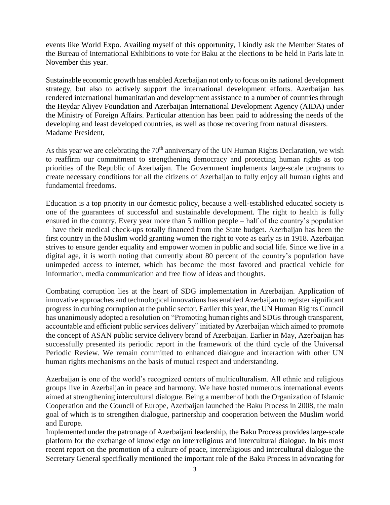events like World Expo. Availing myself of this opportunity, I kindly ask the Member States of the Bureau of International Exhibitions to vote for Baku at the elections to be held in Paris late in November this year.

Sustainable economic growth has enabled Azerbaijan not only to focus on its national development strategy, but also to actively support the international development efforts. Azerbaijan has rendered international humanitarian and development assistance to a number of countries through the Heydar Aliyev Foundation and Azerbaijan International Development Agency (AIDA) under the Ministry of Foreign Affairs. Particular attention has been paid to addressing the needs of the developing and least developed countries, as well as those recovering from natural disasters. Madame President,

As this year we are celebrating the  $70<sup>th</sup>$  anniversary of the UN Human Rights Declaration, we wish to reaffirm our commitment to strengthening democracy and protecting human rights as top priorities of the Republic of Azerbaijan. The Government implements large-scale programs to create necessary conditions for all the citizens of Azerbaijan to fully enjoy all human rights and fundamental freedoms.

Education is a top priority in our domestic policy, because a well-established educated society is one of the guarantees of successful and sustainable development. The right to health is fully ensured in the country. Every year more than 5 million people – half of the country's population – have their medical check-ups totally financed from the State budget. Azerbaijan has been the first country in the Muslim world granting women the right to vote as early as in 1918. Azerbaijan strives to ensure gender equality and empower women in public and social life. Since we live in a digital age, it is worth noting that currently about 80 percent of the country's population have unimpeded access to internet, which has become the most favored and practical vehicle for information, media communication and free flow of ideas and thoughts.

Combating corruption lies at the heart of SDG implementation in Azerbaijan. Application of innovative approaches and technological innovations has enabled Azerbaijan to register significant progress in curbing corruption at the public sector. Earlier this year, the UN Human Rights Council has unanimously adopted a resolution on "Promoting human rights and SDGs through transparent, accountable and efficient public services delivery" initiated by Azerbaijan which aimed to promote the concept of ASAN public service delivery brand of Azerbaijan. Earlier in May, Azerbaijan has successfully presented its periodic report in the framework of the third cycle of the Universal Periodic Review. We remain committed to enhanced dialogue and interaction with other UN human rights mechanisms on the basis of mutual respect and understanding.

Azerbaijan is one of the world's recognized centers of multiculturalism. All ethnic and religious groups live in Azerbaijan in peace and harmony. We have hosted numerous international events aimed at strengthening intercultural dialogue. Being a member of both the Organization of Islamic Cooperation and the Council of Europe, Azerbaijan launched the Baku Process in 2008, the main goal of which is to strengthen dialogue, partnership and cooperation between the Muslim world and Europe.

Implemented under the patronage of Azerbaijani leadership, the Baku Process provides large-scale platform for the exchange of knowledge on interreligious and intercultural dialogue. In his most recent report on the promotion of a culture of peace, interreligious and intercultural dialogue the Secretary General specifically mentioned the important role of the Baku Process in advocating for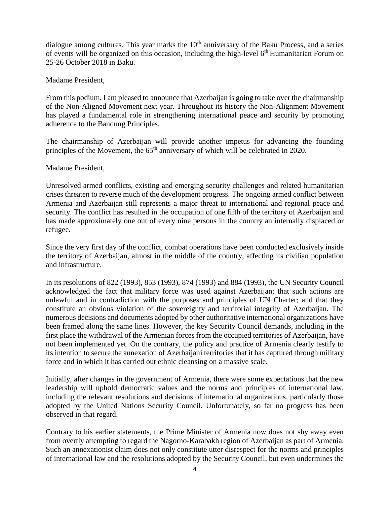dialogue among cultures. This year marks the  $10<sup>th</sup>$  anniversary of the Baku Process, and a series of events will be organized on this occasion, including the high-level  $6<sup>th</sup>$  Humanitarian Forum on 25-26 October 2018 in Baku.

Madame President,

From this podium, I am pleased to announce that Azerbaijan is going to take over the chairmanship of the Non-Aligned Movement next year. Throughout its history the Non-Alignment Movement has played a fundamental role in strengthening international peace and security by promoting adherence to the Bandung Principles.

The chairmanship of Azerbaijan will provide another impetus for advancing the founding principles of the Movement, the 65<sup>th</sup> anniversary of which will be celebrated in 2020.

Madame President,

Unresolved armed conflicts, existing and emerging security challenges and related humanitarian crises threaten to reverse much of the development progress. The ongoing armed conflict between Armenia and Azerbaijan still represents a major threat to international and regional peace and security. The conflict has resulted in the occupation of one fifth of the territory of Azerbaijan and has made approximately one out of every nine persons in the country an internally displaced or refugee.

Since the very first day of the conflict, combat operations have been conducted exclusively inside the territory of Azerbaijan, almost in the middle of the country, affecting its civilian population and infrastructure.

In its resolutions of 822 (1993), 853 (1993), 874 (1993) and 884 (1993), the UN Security Council acknowledged the fact that military force was used against Azerbaijan; that such actions are unlawful and in contradiction with the purposes and principles of UN Charter; and that they constitute an obvious violation of the sovereignty and territorial integrity of Azerbaijan. The numerous decisions and documents adopted by other authoritative international organizations have been framed along the same lines. However, the key Security Council demands, including in the first place the withdrawal of the Armenian forces from the occupied territories of Azerbaijan, have not been implemented yet. On the contrary, the policy and practice of Armenia clearly testify to its intention to secure the annexation of Azerbaijani territories that it has captured through military force and in which it has carried out ethnic cleansing on a massive scale.

Initially, after changes in the government of Armenia, there were some expectations that the new leadership will uphold democratic values and the norms and principles of international law, including the relevant resolutions and decisions of international organizations, particularly those adopted by the United Nations Security Council. Unfortunately, so far no progress has been observed in that regard.

Contrary to his earlier statements, the Prime Minister of Armenia now does not shy away even from overtly attempting to regard the Nagorno-Karabakh region of Azerbaijan as part of Armenia. Such an annexationist claim does not only constitute utter disrespect for the norms and principles of international law and the resolutions adopted by the Security Council, but even undermines the